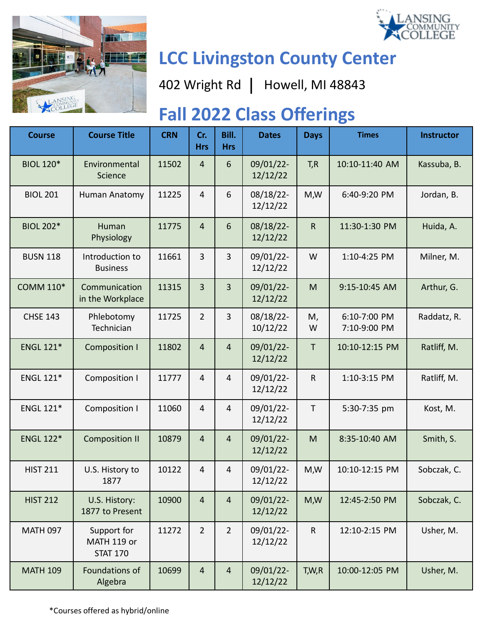



# **LCC Livingston County Center**

402 Wright Rd | Howell, MI 48843

## **Fall 2022 Class Offerings**

| <b>Course</b>    | <b>Course Title</b>                           | <b>CRN</b> | Cr.<br><b>Hrs</b> | Bill.<br><b>Hrs</b> | <b>Dates</b>          | <b>Days</b> | <b>Times</b>                 | <b>Instructor</b> |
|------------------|-----------------------------------------------|------------|-------------------|---------------------|-----------------------|-------------|------------------------------|-------------------|
| <b>BIOL 120*</b> | Environmental<br>Science                      | 11502      | $\overline{4}$    | 6                   | 09/01/22-<br>12/12/22 | T, R        | 10:10-11:40 AM               | Kassuba, B.       |
| <b>BIOL 201</b>  | Human Anatomy                                 | 11225      | $\overline{4}$    | 6                   | 08/18/22-<br>12/12/22 | M,W         | 6:40-9:20 PM                 | Jordan, B.        |
| <b>BIOL 202*</b> | Human<br>Physiology                           | 11775      | $\overline{4}$    | 6                   | 08/18/22-<br>12/12/22 | $\mathsf R$ | 11:30-1:30 PM                | Huida, A.         |
| <b>BUSN 118</b>  | Introduction to<br><b>Business</b>            | 11661      | 3                 | 3                   | 09/01/22-<br>12/12/22 | W           | 1:10-4:25 PM                 | Milner, M.        |
| <b>COMM 110*</b> | Communication<br>in the Workplace             | 11315      | 3                 | 3                   | 09/01/22-<br>12/12/22 | M           | 9:15-10:45 AM                | Arthur, G.        |
| <b>CHSE 143</b>  | Phlebotomy<br>Technician                      | 11725      | $\overline{2}$    | 3                   | 08/18/22-<br>10/12/22 | M,<br>W     | 6:10-7:00 PM<br>7:10-9:00 PM | Raddatz, R.       |
| <b>ENGL 121*</b> | <b>Composition I</b>                          | 11802      | $\overline{4}$    | $\overline{4}$      | 09/01/22-<br>12/12/22 | $\mathsf T$ | 10:10-12:15 PM               | Ratliff, M.       |
| <b>ENGL 121*</b> | Composition I                                 | 11777      | $\overline{4}$    | 4                   | 09/01/22-<br>12/12/22 | $\sf R$     | 1:10-3:15 PM                 | Ratliff, M.       |
| <b>ENGL 121*</b> | <b>Composition I</b>                          | 11060      | $\overline{4}$    | 4                   | 09/01/22-<br>12/12/22 | T           | 5:30-7:35 pm                 | Kost, M.          |
| <b>ENGL 122*</b> | <b>Composition II</b>                         | 10879      | $\overline{4}$    | 4                   | 09/01/22-<br>12/12/22 | M           | 8:35-10:40 AM                | Smith, S.         |
| <b>HIST 211</b>  | U.S. History to<br>1877                       | 10122      | $\overline{4}$    | 4                   | 09/01/22-<br>12/12/22 | M,W         | 10:10-12:15 PM               | Sobczak, C.       |
| <b>HIST 212</b>  | U.S. History:<br>1877 to Present              | 10900      | $\overline{4}$    | $\overline{4}$      | 09/01/22-<br>12/12/22 | M,W         | 12:45-2:50 PM                | Sobczak, C.       |
| <b>MATH 097</b>  | Support for<br>MATH 119 or<br><b>STAT 170</b> | 11272      | $\overline{2}$    | $\overline{2}$      | 09/01/22-<br>12/12/22 | $\sf R$     | 12:10-2:15 PM                | Usher, M.         |
| <b>MATH 109</b>  | Foundations of<br>Algebra                     | 10699      | $\overline{4}$    | $\overline{4}$      | 09/01/22-<br>12/12/22 | T,W,R       | 10:00-12:05 PM               | Usher, M.         |

\*Courses offered as hybrid/online